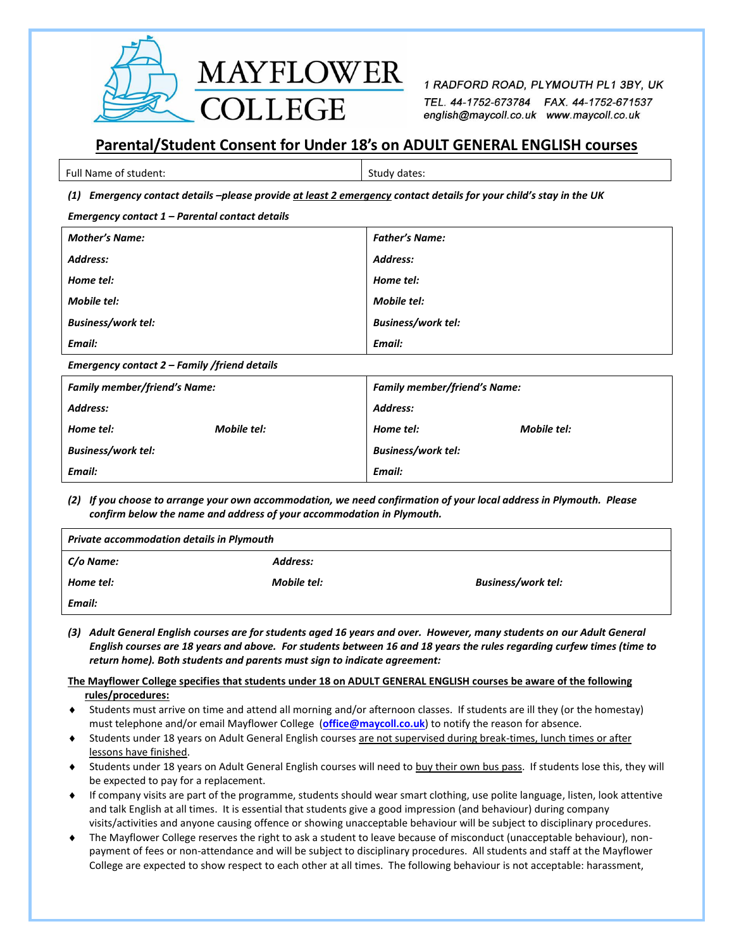

1 RADFORD ROAD, PLYMOUTH PL1 3BY, UK TEL. 44-1752-673784 FAX. 44-1752-671537 english@maycoll.co.uk www.maycoll.co.uk

# **Parental/Student Consent for Under 18's on ADULT GENERAL ENGLISH courses**

| Full Name of student: | Study dates: |
|-----------------------|--------------|

## *(1) Emergency contact details –please provide at least 2 emergency contact details for your child's stay in the UK*

| <b>Mother's Name:</b>     | <b>Father's Name:</b>     |
|---------------------------|---------------------------|
| Address:                  | Address:                  |
| Home tel:                 | Home tel:                 |
| <b>Mobile tel:</b>        | Mobile tel:               |
| <b>Business/work tel:</b> | <b>Business/work tel:</b> |
| Email:                    | Email:                    |

#### *Emergency contact 2 – Family /friend details*

| <b>Family member/friend's Name:</b> | <b>Family member/friend's Name:</b> |  |
|-------------------------------------|-------------------------------------|--|
| Address:                            | Address:                            |  |
| Mobile tel:<br>Home tel:            | Mobile tel:<br>Home tel:            |  |
| <b>Business/work tel:</b>           | <b>Business/work tel:</b>           |  |
| Email:                              | Email:                              |  |

*(2) If you choose to arrange your own accommodation, we need confirmation of your local address in Plymouth. Please confirm below the name and address of your accommodation in Plymouth.*

| Private accommodation details in Plymouth |             |                           |  |
|-------------------------------------------|-------------|---------------------------|--|
| C/o Name:                                 | Address:    |                           |  |
| Home tel:                                 | Mobile tel: | <b>Business/work tel:</b> |  |
| Email:                                    |             |                           |  |

*(3) Adult General English courses are for students aged 16 years and over. However, many students on our Adult General English courses are 18 years and above. For students between 16 and 18 years the rules regarding curfew times (time to return home). Both students and parents must sign to indicate agreement:*

## **The Mayflower College specifies that students under 18 on ADULT GENERAL ENGLISH courses be aware of the following rules/procedures:**

- Students must arrive on time and attend all morning and/or afternoon classes. If students are ill they (or the homestay) must telephone and/or email Mayflower College (**[office@maycoll.co.uk](mailto:office@maycoll.co.uk)**) to notify the reason for absence.
- Students under 18 years on Adult General English courses are not supervised during break-times, lunch times or after lessons have finished.
- Students under 18 years on Adult General English courses will need to buy their own bus pass. If students lose this, they will be expected to pay for a replacement.
- If company visits are part of the programme, students should wear smart clothing, use polite language, listen, look attentive and talk English at all times. It is essential that students give a good impression (and behaviour) during company visits/activities and anyone causing offence or showing unacceptable behaviour will be subject to disciplinary procedures.
- The Mayflower College reserves the right to ask a student to leave because of misconduct (unacceptable behaviour), nonpayment of fees or non-attendance and will be subject to disciplinary procedures. All students and staff at the Mayflower College are expected to show respect to each other at all times. The following behaviour is not acceptable: harassment,